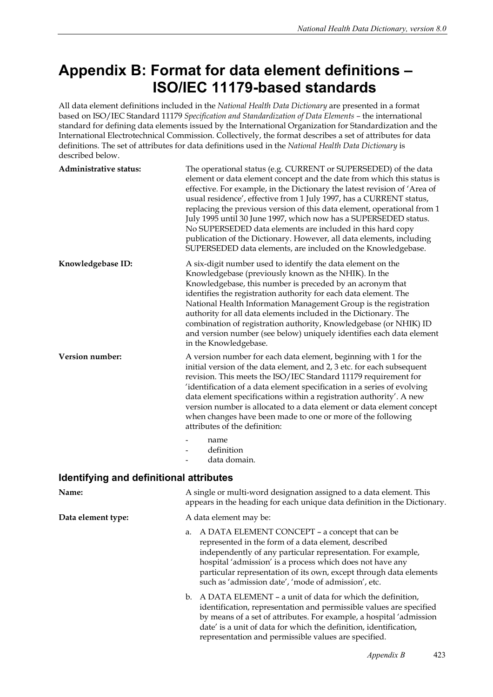## **Appendix B: Format for data element definitions – ISO/IEC 11179-based standards**

All data element definitions included in the *National Health Data Dictionary* are presented in a format based on ISO/IEC Standard 11179 *Specification and Standardization of Data Elements –* the international standard for defining data elements issued by the International Organization for Standardization and the International Electrotechnical Commission. Collectively, the format describes a set of attributes for data definitions. The set of attributes for data definitions used in the *National Health Data Dictionary* is described below.

| Administrative status: | The operational status (e.g. CURRENT or SUPERSEDED) of the data<br>element or data element concept and the date from which this status is<br>effective. For example, in the Dictionary the latest revision of 'Area of<br>usual residence', effective from 1 July 1997, has a CURRENT status,<br>replacing the previous version of this data element, operational from 1<br>July 1995 until 30 June 1997, which now has a SUPERSEDED status.<br>No SUPERSEDED data elements are included in this hard copy<br>publication of the Dictionary. However, all data elements, including<br>SUPERSEDED data elements, are included on the Knowledgebase. |
|------------------------|----------------------------------------------------------------------------------------------------------------------------------------------------------------------------------------------------------------------------------------------------------------------------------------------------------------------------------------------------------------------------------------------------------------------------------------------------------------------------------------------------------------------------------------------------------------------------------------------------------------------------------------------------|
| Knowledgebase ID:      | A six-digit number used to identify the data element on the<br>Knowledgebase (previously known as the NHIK). In the<br>Knowledgebase, this number is preceded by an acronym that<br>identifies the registration authority for each data element. The<br>National Health Information Management Group is the registration<br>authority for all data elements included in the Dictionary. The<br>combination of registration authority, Knowledgebase (or NHIK) ID<br>and version number (see below) uniquely identifies each data element<br>in the Knowledgebase.                                                                                  |
| <b>Version number:</b> | A version number for each data element, beginning with 1 for the<br>initial version of the data element, and 2, 3 etc. for each subsequent<br>revision. This meets the ISO/IEC Standard 11179 requirement for<br>'identification of a data element specification in a series of evolving<br>data element specifications within a registration authority'. A new<br>version number is allocated to a data element or data element concept<br>when changes have been made to one or more of the following<br>attributes of the definition:<br>name                                                                                                   |
|                        | definition                                                                                                                                                                                                                                                                                                                                                                                                                                                                                                                                                                                                                                         |

- data domain.

## **Identifying and definitional attributes**

| Name:              | A single or multi-word designation assigned to a data element. This<br>appears in the heading for each unique data definition in the Dictionary.                                                                                                                                                                                                                    |
|--------------------|---------------------------------------------------------------------------------------------------------------------------------------------------------------------------------------------------------------------------------------------------------------------------------------------------------------------------------------------------------------------|
| Data element type: | A data element may be:                                                                                                                                                                                                                                                                                                                                              |
|                    | a. A DATA ELEMENT CONCEPT - a concept that can be<br>represented in the form of a data element, described<br>independently of any particular representation. For example,<br>hospital 'admission' is a process which does not have any<br>particular representation of its own, except through data elements<br>such as 'admission date', 'mode of admission', etc. |
|                    | b. A DATA ELEMENT – a unit of data for which the definition,<br>identification, representation and permissible values are specified<br>by means of a set of attributes. For example, a hospital 'admission<br>date' is a unit of data for which the definition, identification,<br>representation and permissible values are specified.                             |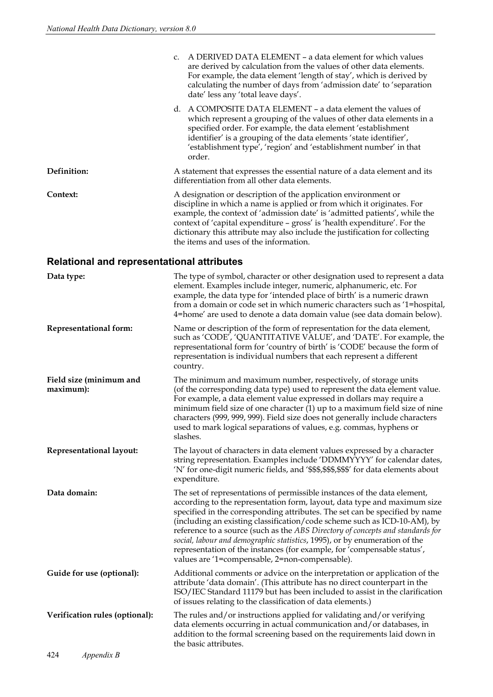|                                                   | A DERIVED DATA ELEMENT - a data element for which values<br>c.<br>are derived by calculation from the values of other data elements.<br>For example, the data element 'length of stay', which is derived by<br>calculating the number of days from 'admission date' to 'separation<br>date' less any 'total leave days'.                                                                                                                                                                                                                                                                                     |
|---------------------------------------------------|--------------------------------------------------------------------------------------------------------------------------------------------------------------------------------------------------------------------------------------------------------------------------------------------------------------------------------------------------------------------------------------------------------------------------------------------------------------------------------------------------------------------------------------------------------------------------------------------------------------|
|                                                   | d. A COMPOSITE DATA ELEMENT - a data element the values of<br>which represent a grouping of the values of other data elements in a<br>specified order. For example, the data element 'establishment<br>identifier' is a grouping of the data elements 'state identifier',<br>'establishment type', 'region' and 'establishment number' in that<br>order.                                                                                                                                                                                                                                                     |
| Definition:                                       | A statement that expresses the essential nature of a data element and its<br>differentiation from all other data elements.                                                                                                                                                                                                                                                                                                                                                                                                                                                                                   |
| Context:                                          | A designation or description of the application environment or<br>discipline in which a name is applied or from which it originates. For<br>example, the context of 'admission date' is 'admitted patients', while the<br>context of 'capital expenditure - gross' is 'health expenditure'. For the<br>dictionary this attribute may also include the justification for collecting<br>the items and uses of the information.                                                                                                                                                                                 |
| <b>Relational and representational attributes</b> |                                                                                                                                                                                                                                                                                                                                                                                                                                                                                                                                                                                                              |
| Data type:                                        | The type of symbol, character or other designation used to represent a data<br>element. Examples include integer, numeric, alphanumeric, etc. For<br>example, the data type for 'intended place of birth' is a numeric drawn<br>from a domain or code set in which numeric characters such as '1=hospital,<br>4=home' are used to denote a data domain value (see data domain below).                                                                                                                                                                                                                        |
| <b>Representational form:</b>                     | Name or description of the form of representation for the data element,<br>such as 'CODE', 'QUANTITATIVE VALUE', and 'DATE'. For example, the<br>representational form for 'country of birth' is 'CODE' because the form of<br>representation is individual numbers that each represent a different<br>country.                                                                                                                                                                                                                                                                                              |
| Field size (minimum and<br>maximum):              | The minimum and maximum number, respectively, of storage units<br>(of the corresponding data type) used to represent the data element value.<br>For example, a data element value expressed in dollars may require a<br>minimum field size of one character $(1)$ up to a maximum field size of nine<br>characters (999, 999, 999). Field size does not generally include characters<br>used to mark logical separations of values, e.g. commas, hyphens or<br>slashes.                                                                                                                                      |
| Representational layout:                          | The layout of characters in data element values expressed by a character<br>string representation. Examples include 'DDMMYYYY' for calendar dates,<br>'N' for one-digit numeric fields, and '\$\$\$,\$\$\$,\$\$\$' for data elements about<br>expenditure.                                                                                                                                                                                                                                                                                                                                                   |
| Data domain:                                      | The set of representations of permissible instances of the data element,<br>according to the representation form, layout, data type and maximum size<br>specified in the corresponding attributes. The set can be specified by name<br>(including an existing classification/code scheme such as ICD-10-AM), by<br>reference to a source (such as the ABS Directory of concepts and standards for<br>social, labour and demographic statistics, 1995), or by enumeration of the<br>representation of the instances (for example, for 'compensable status',<br>values are '1=compensable, 2=non-compensable). |
| Guide for use (optional):                         | Additional comments or advice on the interpretation or application of the<br>attribute 'data domain'. (This attribute has no direct counterpart in the<br>ISO/IEC Standard 11179 but has been included to assist in the clarification<br>of issues relating to the classification of data elements.)                                                                                                                                                                                                                                                                                                         |
| Verification rules (optional):                    | The rules and/or instructions applied for validating and/or verifying<br>data elements occurring in actual communication and/or databases, in<br>addition to the formal screening based on the requirements laid down in<br>the basic attributes.                                                                                                                                                                                                                                                                                                                                                            |
|                                                   |                                                                                                                                                                                                                                                                                                                                                                                                                                                                                                                                                                                                              |